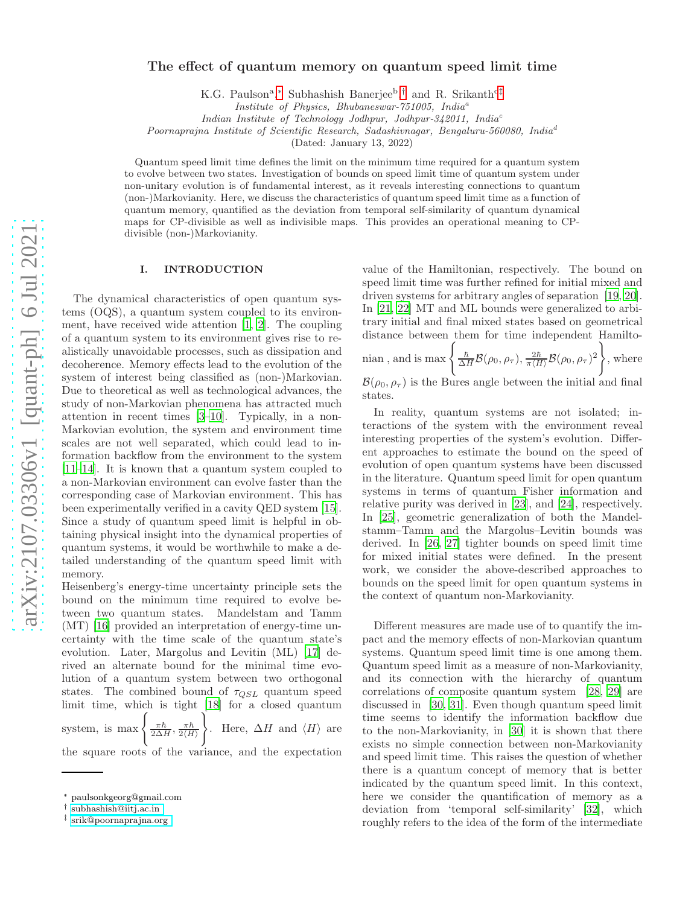# The effect of quantum memory on quantum speed limit time

K.G. Paulson<sup>a</sup>,\* Subhashish Banerjee<sup>b</sup>,<sup>[†](#page-0-1)</sup> and R. Srikanth<sup>c[‡](#page-0-2)</sup>

*Institute of Physics, Bhubaneswar-751005, India*<sup>a</sup>

*Indian Institute of Technology Jodhpur, Jodhpur-342011, India*<sup>c</sup>

*Poornaprajna Institute of Scientific Research, Sadashivnagar, Bengaluru-560080, India*<sup>d</sup>

(Dated: January 13, 2022)

Quantum speed limit time defines the limit on the minimum time required for a quantum system to evolve between two states. Investigation of bounds on speed limit time of quantum system under non-unitary evolution is of fundamental interest, as it reveals interesting connections to quantum (non-)Markovianity. Here, we discuss the characteristics of quantum speed limit time as a function of quantum memory, quantified as the deviation from temporal self-similarity of quantum dynamical maps for CP-divisible as well as indivisible maps. This provides an operational meaning to CPdivisible (non-)Markovianity.

## I. INTRODUCTION

The dynamical characteristics of open quantum systems (OQS), a quantum system coupled to its environment, have received wide attention [\[1](#page-5-0), [2\]](#page-5-1). The coupling of a quantum system to its environment gives rise to realistically unavoidable processes, such as dissipation and decoherence. Memory effects lead to the evolution of the system of interest being classified as (non-)Markovian. Due to theoretical as well as technological advances, the study of non-Markovian phenomena has attracted much attention in recent times [\[3](#page-5-2)[–10\]](#page-5-3). Typically, in a non-Markovian evolution, the system and environment time scales are not well separated, which could lead to information backflow from the environment to the system [\[11](#page-5-4)[–14\]](#page-5-5). It is known that a quantum system coupled to a non-Markovian environment can evolve faster than the corresponding case of Markovian environment. This has been experimentally verified in a cavity QED system [\[15\]](#page-5-6). Since a study of quantum speed limit is helpful in obtaining physical insight into the dynamical properties of quantum systems, it would be worthwhile to make a detailed understanding of the quantum speed limit with memory.

Heisenberg's energy-time uncertainty principle sets the bound on the minimum time required to evolve between two quantum states. Mandelstam and Tamm (MT) [\[16](#page-5-7)] provided an interpretation of energy-time uncertainty with the time scale of the quantum state's evolution. Later, Margolus and Levitin (ML) [\[17](#page-5-8)] derived an alternate bound for the minimal time evolution of a quantum system between two orthogonal states. The combined bound of  $\tau_{QSL}$  quantum speed limit time, which is tight [\[18\]](#page-5-9) for a closed quantum system, is  $\max \left\{ \frac{\pi \hbar}{2 \Delta H}, \frac{\pi \hbar}{2 \langle H \rangle} \right\}$  $2\langle H\rangle$  $\mathcal{L}$ . Here,  $\Delta H$  and  $\langle H \rangle$  are the square roots of the variance, and the expectation

value of the Hamiltonian, respectively. The bound on speed limit time was further refined for initial mixed and driven systems for arbitrary angles of separation [\[19](#page-5-10), [20\]](#page-5-11). In [\[21,](#page-5-12) [22\]](#page-5-13) MT and ML bounds were generalized to arbitrary initial and final mixed states based on geometrical distance between them for time independent Hamilto-

nian, and is max 
$$
\left\{\frac{\hbar}{\Delta H} \mathcal{B}(\rho_0, \rho_\tau), \frac{2\hbar}{\pi \langle H \rangle} \mathcal{B}(\rho_0, \rho_\tau)^2\right\}
$$
, where

 $\mathcal{B}(\rho_0, \rho_\tau)$  is the Bures angle between the initial and final states.

In reality, quantum systems are not isolated; interactions of the system with the environment reveal interesting properties of the system's evolution. Different approaches to estimate the bound on the speed of evolution of open quantum systems have been discussed in the literature. Quantum speed limit for open quantum systems in terms of quantum Fisher information and relative purity was derived in [\[23\]](#page-6-0), and [\[24\]](#page-6-1), respectively. In [\[25](#page-6-2)], geometric generalization of both the Mandelstamm–Tamm and the Margolus–Levitin bounds was derived. In [\[26,](#page-6-3) [27\]](#page-6-4) tighter bounds on speed limit time for mixed initial states were defined. In the present work, we consider the above-described approaches to bounds on the speed limit for open quantum systems in the context of quantum non-Markovianity.

Different measures are made use of to quantify the impact and the memory effects of non-Markovian quantum systems. Quantum speed limit time is one among them. Quantum speed limit as a measure of non-Markovianity, and its connection with the hierarchy of quantum correlations of composite quantum system [\[28,](#page-6-5) [29\]](#page-6-6) are discussed in [\[30,](#page-6-7) [31\]](#page-6-8). Even though quantum speed limit time seems to identify the information backflow due to the non-Markovianity, in [\[30](#page-6-7)] it is shown that there exists no simple connection between non-Markovianity and speed limit time. This raises the question of whether there is a quantum concept of memory that is better indicated by the quantum speed limit. In this context, here we consider the quantification of memory as a deviation from 'temporal self-similarity' [\[32\]](#page-6-9), which roughly refers to the idea of the form of the intermediate

<span id="page-0-0"></span><sup>∗</sup> paulsonkgeorg@gmail.com

<span id="page-0-1"></span><sup>†</sup> [subhashish@iitj.ac.in](mailto:subhashish@iitj.ac.in )

<span id="page-0-2"></span><sup>‡</sup> [srik@poornaprajna.org](mailto:srik@poornaprajna.org )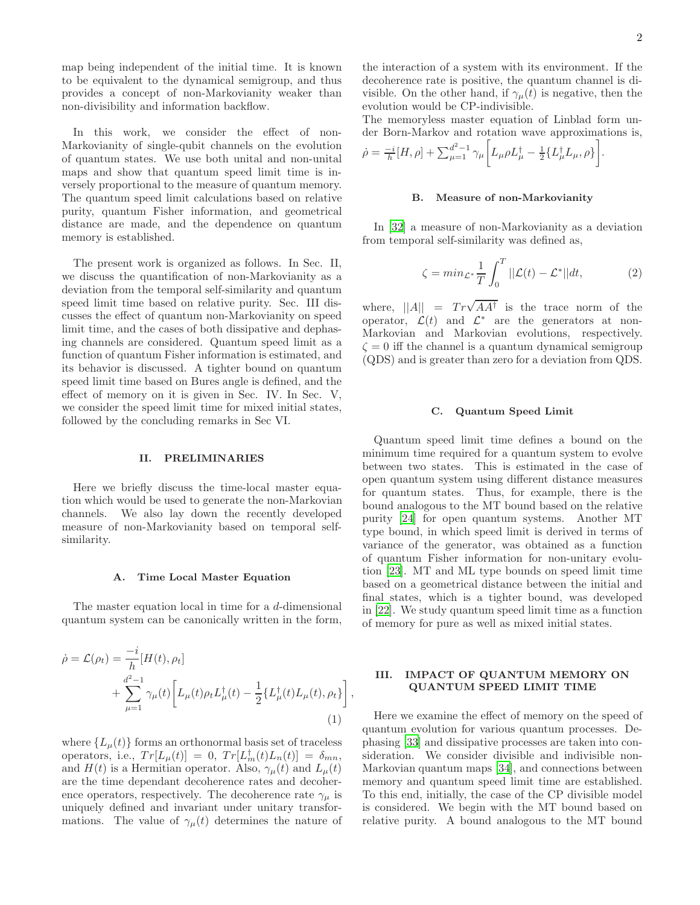map being independent of the initial time. It is known to be equivalent to the dynamical semigroup, and thus provides a concept of non-Markovianity weaker than non-divisibility and information backflow.

In this work, we consider the effect of non-Markovianity of single-qubit channels on the evolution of quantum states. We use both unital and non-unital maps and show that quantum speed limit time is inversely proportional to the measure of quantum memory. The quantum speed limit calculations based on relative purity, quantum Fisher information, and geometrical distance are made, and the dependence on quantum memory is established.

The present work is organized as follows. In Sec. II, we discuss the quantification of non-Markovianity as a deviation from the temporal self-similarity and quantum speed limit time based on relative purity. Sec. III discusses the effect of quantum non-Markovianity on speed limit time, and the cases of both dissipative and dephasing channels are considered. Quantum speed limit as a function of quantum Fisher information is estimated, and its behavior is discussed. A tighter bound on quantum speed limit time based on Bures angle is defined, and the effect of memory on it is given in Sec. IV. In Sec. V, we consider the speed limit time for mixed initial states, followed by the concluding remarks in Sec VI.

### II. PRELIMINARIES

Here we briefly discuss the time-local master equation which would be used to generate the non-Markovian channels. We also lay down the recently developed measure of non-Markovianity based on temporal selfsimilarity.

#### A. Time Local Master Equation

The master equation local in time for a d-dimensional quantum system can be canonically written in the form,

$$
\dot{\rho} = \mathcal{L}(\rho_t) = \frac{-i}{h} [H(t), \rho_t] \n+ \sum_{\mu=1}^{d^2-1} \gamma_{\mu}(t) \bigg[ L_{\mu}(t) \rho_t L_{\mu}^{\dagger}(t) - \frac{1}{2} \{ L_{\mu}^{\dagger}(t) L_{\mu}(t), \rho_t \} \bigg],
$$
\n(1)

where  $\{L_{\mu}(t)\}\$ forms an orthonormal basis set of traceless operators, i.e.,  $Tr[L_{\mu}(t)] = 0$ ,  $Tr[L_{m}^{\dagger}(t)L_{n}(t)] = \delta_{mn}$ , and  $H(t)$  is a Hermitian operator. Also,  $\gamma_{\mu}(t)$  and  $L_{\mu}(t)$ are the time dependant decoherence rates and decoherence operators, respectively. The decoherence rate  $\gamma_{\mu}$  is uniquely defined and invariant under unitary transformations. The value of  $\gamma_{\mu}(t)$  determines the nature of the interaction of a system with its environment. If the decoherence rate is positive, the quantum channel is divisible. On the other hand, if  $\gamma_{\mu}(t)$  is negative, then the evolution would be CP-indivisible.

The memoryless master equation of Linblad form under Born-Markov and rotation wave approximations is,

$$
\dot{\rho} = \frac{-i}{h} [H, \rho] + \sum_{\mu=1}^{d^2-1} \gamma_{\mu} \bigg[ L_{\mu} \rho L_{\mu}^{\dagger} - \frac{1}{2} \{ L_{\mu}^{\dagger} L_{\mu}, \rho \} \bigg].
$$

#### B. Measure of non-Markovianity

In [\[32\]](#page-6-9) a measure of non-Markovianity as a deviation from temporal self-similarity was defined as,

<span id="page-1-0"></span>
$$
\zeta = \min_{\mathcal{L}^*} \frac{1}{T} \int_0^T ||\mathcal{L}(t) - \mathcal{L}^*|| dt, \tag{2}
$$

where,  $||A|| = Tr\sqrt{A A^{\dagger}}$  is the trace norm of the operator,  $\mathcal{L}(t)$  and  $\mathcal{L}^*$  are the generators at non-Markovian and Markovian evolutions, respectively.  $\zeta = 0$  iff the channel is a quantum dynamical semigroup (QDS) and is greater than zero for a deviation from QDS.

#### C. Quantum Speed Limit

Quantum speed limit time defines a bound on the minimum time required for a quantum system to evolve between two states. This is estimated in the case of open quantum system using different distance measures for quantum states. Thus, for example, there is the bound analogous to the MT bound based on the relative purity [\[24\]](#page-6-1) for open quantum systems. Another MT type bound, in which speed limit is derived in terms of variance of the generator, was obtained as a function of quantum Fisher information for non-unitary evolution [\[23\]](#page-6-0). MT and ML type bounds on speed limit time based on a geometrical distance between the initial and final states, which is a tighter bound, was developed in [\[22\]](#page-5-13). We study quantum speed limit time as a function of memory for pure as well as mixed initial states.

### III. IMPACT OF QUANTUM MEMORY ON QUANTUM SPEED LIMIT TIME

Here we examine the effect of memory on the speed of quantum evolution for various quantum processes. Dephasing [\[33\]](#page-6-10) and dissipative processes are taken into consideration. We consider divisible and indivisible non-Markovian quantum maps [\[34](#page-6-11)], and connections between memory and quantum speed limit time are established. To this end, initially, the case of the CP divisible model is considered. We begin with the MT bound based on relative purity. A bound analogous to the MT bound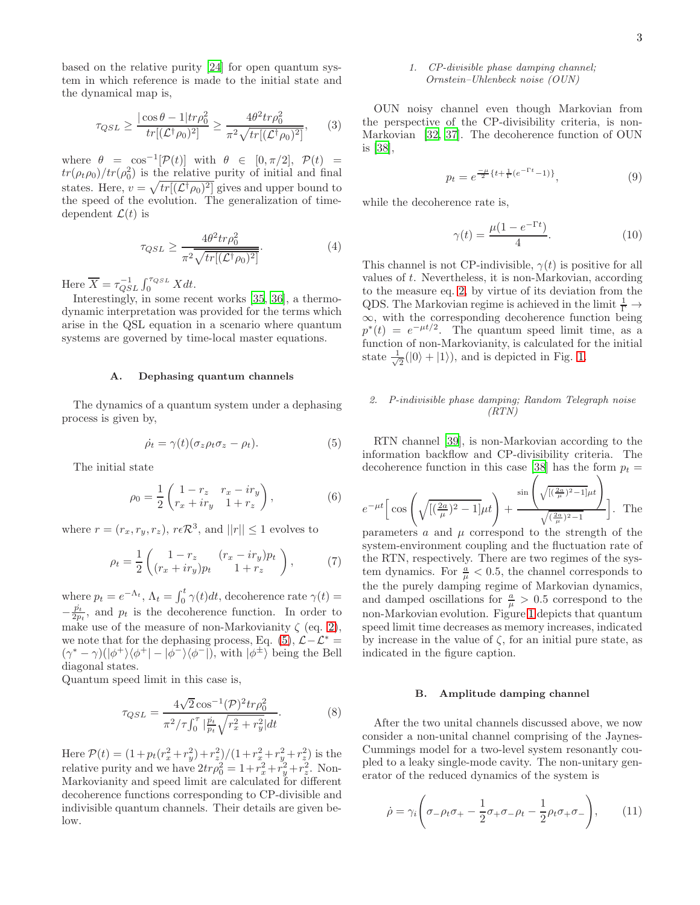based on the relative purity [\[24](#page-6-1)] for open quantum system in which reference is made to the initial state and the dynamical map is,

$$
\tau_{QSL} \ge \frac{|\cos \theta - 1| \text{tr} \rho_0^2}{\text{tr}[(\mathcal{L}^\dagger \rho_0)^2]} \ge \frac{4\theta^2 \text{tr} \rho_0^2}{\pi^2 \sqrt{\text{tr}[(\mathcal{L}^\dagger \rho_0)^2]}},\qquad(3)
$$

where  $\theta = \cos^{-1}[\mathcal{P}(t)]$  with  $\theta \in [0, \pi/2], \mathcal{P}(t) =$  $tr(\rho_t \rho_0)/tr(\rho_0^2)$  is the relative purity of initial and final states. Here,  $v = \sqrt{tr[(\mathcal{L}^{\dagger}\rho_0)^2]}$  gives and upper bound to the speed of the evolution. The generalization of timedependent  $\mathcal{L}(t)$  is

<span id="page-2-2"></span>
$$
\tau_{QSL} \ge \frac{4\theta^2 tr \rho_0^2}{\pi^2 \sqrt{tr[(\mathcal{L}^\dagger \rho_0)^2]}}.\tag{4}
$$

Here  $\overline{X} = \tau_{QSL}^{-1} \int_0^{\tau_{QSL}} X dt$ .

Interestingly, in some recent works [\[35](#page-6-12), [36\]](#page-6-13), a thermodynamic interpretation was provided for the terms which arise in the QSL equation in a scenario where quantum systems are governed by time-local master equations.

### A. Dephasing quantum channels

The dynamics of a quantum system under a dephasing process is given by,

<span id="page-2-0"></span>
$$
\dot{\rho_t} = \gamma(t)(\sigma_z \rho_t \sigma_z - \rho_t). \tag{5}
$$

The initial state

<span id="page-2-1"></span>
$$
\rho_0 = \frac{1}{2} \begin{pmatrix} 1 - r_z & r_x - ir_y \\ r_x + ir_y & 1 + r_z \end{pmatrix},
$$
(6)

where  $r = (r_x, r_y, r_z)$ ,  $r \in \mathbb{R}^3$ , and  $||r|| \leq 1$  evolves to

$$
\rho_t = \frac{1}{2} \begin{pmatrix} 1 - r_z & (r_x - ir_y)p_t \\ (r_x + ir_y)p_t & 1 + r_z \end{pmatrix},
$$
(7)

where  $p_t = e^{-\Lambda_t}$ ,  $\Lambda_t = \int_0^t \gamma(t) dt$ , decoherence rate  $\gamma(t) =$  $-\frac{\dot{p}_t}{2p_t}$ , and  $p_t$  is the decoherence function. In order to make use of the measure of non-Markovianity  $\zeta$  (eq. [2\)](#page-1-0), we note that for the dephasing process, Eq. [\(5\)](#page-2-0),  $\mathcal{L} - \mathcal{L}^* =$  $(\gamma^* - \gamma)(|\phi^+\rangle\langle\phi^+| - |\phi^-\rangle\langle\phi^-|)$ , with  $|\phi^{\pm}\rangle$  being the Bell diagonal states.

Quantum speed limit in this case is,

$$
\tau_{QSL} = \frac{4\sqrt{2}\cos^{-1}(\mathcal{P})^2 tr \rho_0^2}{\pi^2/\tau \int_0^\tau \left|\frac{\dot{p}_t}{p_t} \sqrt{r_x^2 + r_y^2}\right| dt}.
$$
\n(8)

Here  $\mathcal{P}(t) = (1 + p_t(r_x^2 + r_y^2) + r_z^2)/(1 + r_x^2 + r_y^2 + r_z^2)$  is the relative purity and we have  $2tr\rho_0^2 = 1 + r_x^2 + r_y^2 + r_z^2$ . Non-Markovianity and speed limit are calculated for different decoherence functions corresponding to CP-divisible and indivisible quantum channels. Their details are given below.

## *1. CP-divisible phase damping channel; Ornstein–Uhlenbeck noise (OUN)*

OUN noisy channel even though Markovian from the perspective of the CP-divisibility criteria, is non-Markovian [\[32,](#page-6-9) [37](#page-6-14)]. The decoherence function of OUN is [\[38\]](#page-6-15),

$$
p_t = e^{\frac{-\mu}{2} \{t + \frac{1}{\Gamma}(e^{-\Gamma t} - 1)\}},\tag{9}
$$

while the decoherence rate is,

$$
\gamma(t) = \frac{\mu(1 - e^{-\Gamma t})}{4}.
$$
\n(10)

This channel is not CP-indivisible,  $\gamma(t)$  is positive for all values of t. Nevertheless, it is non-Markovian, according to the measure eq. [2,](#page-1-0) by virtue of its deviation from the QDS. The Markovian regime is achieved in the limit  $\frac{1}{\Gamma} \rightarrow$  $\infty$ , with the corresponding decoherence function being  $p^*(t) = e^{-\mu t/2}$ . The quantum speed limit time, as a function of non-Markovianity, is calculated for the initial state  $\frac{1}{\sqrt{2}}$  $\frac{1}{2}(|0\rangle + |1\rangle)$ , and is depicted in Fig. [1.](#page-3-0)

## *2. P-indivisible phase damping; Random Telegraph noise (RTN)*

RTN channel [\[39](#page-6-16)], is non-Markovian according to the information backflow and CP-divisibility criteria. The decoherence function in this case [\[38](#page-6-15)] has the form  $p_t =$ 

$$
e^{-\mu t} \Big[ \cos \left( \sqrt{[(\frac{2a}{\mu})^2 - 1]} \mu t \right) + \frac{\sin \left( \sqrt{[(\frac{2a}{\mu})^2 - 1]} \mu t \right)}{\sqrt{(\frac{2a}{\mu})^2 - 1}} \Big].
$$
 The

parameters  $\alpha$  and  $\mu$  correspond to the strength of the system-environment coupling and the fluctuation rate of the RTN, respectively. There are two regimes of the system dynamics. For  $\frac{a}{\mu} < 0.5$ , the channel corresponds to the the purely damping regime of Markovian dynamics, and damped oscillations for  $\frac{a}{\mu} > 0.5$  correspond to the non-Markovian evolution. Figure [1](#page-3-0) depicts that quantum speed limit time decreases as memory increases, indicated by increase in the value of  $\zeta$ , for an initial pure state, as indicated in the figure caption.

#### B. Amplitude damping channel

After the two unital channels discussed above, we now consider a non-unital channel comprising of the Jaynes-Cummings model for a two-level system resonantly coupled to a leaky single-mode cavity. The non-unitary generator of the reduced dynamics of the system is

$$
\dot{\rho} = \gamma_i \left( \sigma_- \rho_t \sigma_+ - \frac{1}{2} \sigma_+ \sigma_- \rho_t - \frac{1}{2} \rho_t \sigma_+ \sigma_- \right), \qquad (11)
$$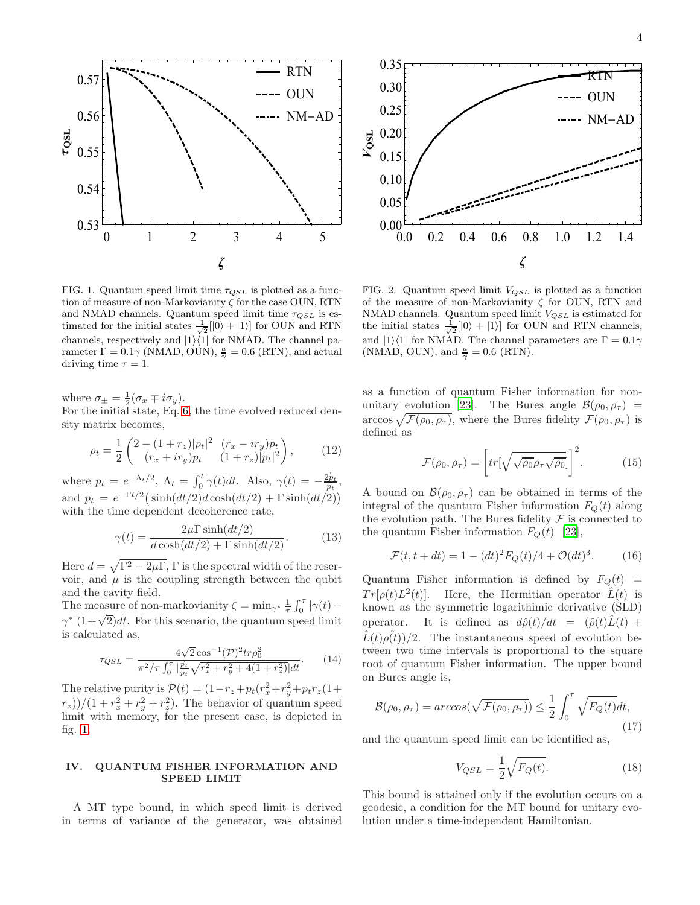

<span id="page-3-0"></span>FIG. 1. Quantum speed limit time  $\tau_{QSL}$  is plotted as a function of measure of non-Markovianity  $\zeta$  for the case OUN, RTN and NMAD channels. Quantum speed limit time  $\tau_{QSL}$  is estimated for the initial states  $\frac{1}{\sqrt{2}}[|0\rangle + |1\rangle]$  for OUN and RTN channels, respectively and  $|1\rangle\langle 1|$  for NMAD. The channel parameter  $\Gamma = 0.1\gamma$  (NMAD, OUN),  $\frac{a}{\gamma} = 0.6$  (RTN), and actual driving time  $\tau = 1$ .

where  $\sigma_{\pm} = \frac{1}{2} (\sigma_x \mp i \sigma_y)$ .

For the initial state, Eq. [6,](#page-2-1) the time evolved reduced density matrix becomes,

<span id="page-3-2"></span>
$$
\rho_t = \frac{1}{2} \begin{pmatrix} 2 - (1+r_z)|p_t|^2 & (r_x - ir_y)p_t \\ (r_x + ir_y)p_t & (1+r_z)|p_t|^2 \end{pmatrix},\tag{12}
$$

where  $p_t = e^{-\Lambda_t/2}$ ,  $\Lambda_t = \int_0^t \gamma(t) dt$ . Also,  $\gamma(t) = -\frac{2p_t}{p_t}$ , and  $p_t = e^{-\Gamma t/2} \left( \sinh(dt/2)d \cosh(dt/2) + \Gamma \sinh(dt/2) \right)$ with the time dependent decoherence rate,

$$
\gamma(t) = \frac{2\mu\Gamma\sinh(dt/2)}{d\cosh(dt/2) + \Gamma\sinh(dt/2)}.\tag{13}
$$

Here  $d = \sqrt{\Gamma^2 - 2\mu\Gamma}$ ,  $\Gamma$  is the spectral width of the reservoir, and  $\mu$  is the coupling strength between the qubit and the cavity field.

The measure of non-markovianity  $\zeta = \min_{\gamma^*} \frac{1}{\tau} \int_0^{\tau} |\gamma(t) - \gamma(t)|$  $\gamma^*$   $(1+\sqrt{2})dt$ . For this scenario, the quantum speed limit is calculated as,

$$
\tau_{QSL} = \frac{4\sqrt{2}\cos^{-1}(\mathcal{P})^2 tr \rho_0^2}{\pi^2/\tau \int_0^\tau \left|\frac{p_t}{p_t} \sqrt{r_x^2 + r_y^2 + 4(1 + r_z^2)}\right| dt}.
$$
 (14)

The relative purity is  $\mathcal{P}(t) = (1 - r_z + p_t(r_x^2 + r_y^2 + p_t r_z(1 +$  $(r_z)/(1+r_x^2+r_y^2+r_z^2)$ . The behavior of quantum speed limit with memory, for the present case, is depicted in fig. [1.](#page-3-0)

## IV. QUANTUM FISHER INFORMATION AND SPEED LIMIT

A MT type bound, in which speed limit is derived in terms of variance of the generator, was obtained



<span id="page-3-1"></span>FIG. 2. Quantum speed limit  $V_{QSL}$  is plotted as a function of the measure of non-Markovianity  $\zeta$  for OUN, RTN and NMAD channels. Quantum speed limit  $V_{QSL}$  is estimated for the initial states  $\frac{1}{\sqrt{2}}[|0\rangle + |1\rangle]$  for OUN and RTN channels, and  $|1\rangle\langle 1|$  for NMAD. The channel parameters are  $\Gamma = 0.1\gamma$ (NMAD, OUN), and  $\frac{a}{\gamma} = 0.6$  (RTN).

as a function of quantum Fisher information for non-unitary evolution [\[23](#page-6-0)]. The Bures angle  $\mathcal{B}(\rho_0, \rho_\tau)$  =  $\arccos \sqrt{\mathcal{F}(\rho_0, \rho_\tau)}$ , where the Bures fidelity  $\mathcal{F}(\rho_0, \rho_\tau)$  is defined as

$$
\mathcal{F}(\rho_0, \rho_\tau) = \left[ tr[\sqrt{\sqrt{\rho_0} \rho_\tau \sqrt{\rho_0}}] \right]^2.
$$
 (15)

A bound on  $\mathcal{B}(\rho_0, \rho_\tau)$  can be obtained in terms of the integral of the quantum Fisher information  $F<sub>O</sub>(t)$  along the evolution path. The Bures fidelity  $\mathcal F$  is connected to the quantum Fisher information  $F_Q(t)$  [\[23\]](#page-6-0),

$$
\mathcal{F}(t, t+dt) = 1 - (dt)^{2} F_{Q}(t) / 4 + \mathcal{O}(dt)^{3}.
$$
 (16)

Quantum Fisher information is defined by  $F_Q(t)$  =  $Tr[\rho(t)L^2(t)].$  Here, the Hermitian operator  $\hat{L}(t)$  is known as the symmetric logarithimic derivative (SLD) operator. It is defined as  $d\hat{\rho}(t)/dt = (\hat{\rho}(t)\hat{L}(t) +$  $\hat{L}(t)\rho(t)/2$ . The instantaneous speed of evolution between two time intervals is proportional to the square root of quantum Fisher information. The upper bound on Bures angle is,

$$
\mathcal{B}(\rho_0, \rho_\tau) = \arccos(\sqrt{\mathcal{F}(\rho_0, \rho_\tau)}) \le \frac{1}{2} \int_0^\tau \sqrt{F_Q(t)} dt,
$$
\n(17)

and the quantum speed limit can be identified as,

$$
V_{QSL} = \frac{1}{2} \sqrt{F_Q(t)}.
$$
\n(18)

This bound is attained only if the evolution occurs on a geodesic, a condition for the MT bound for unitary evolution under a time-independent Hamiltonian.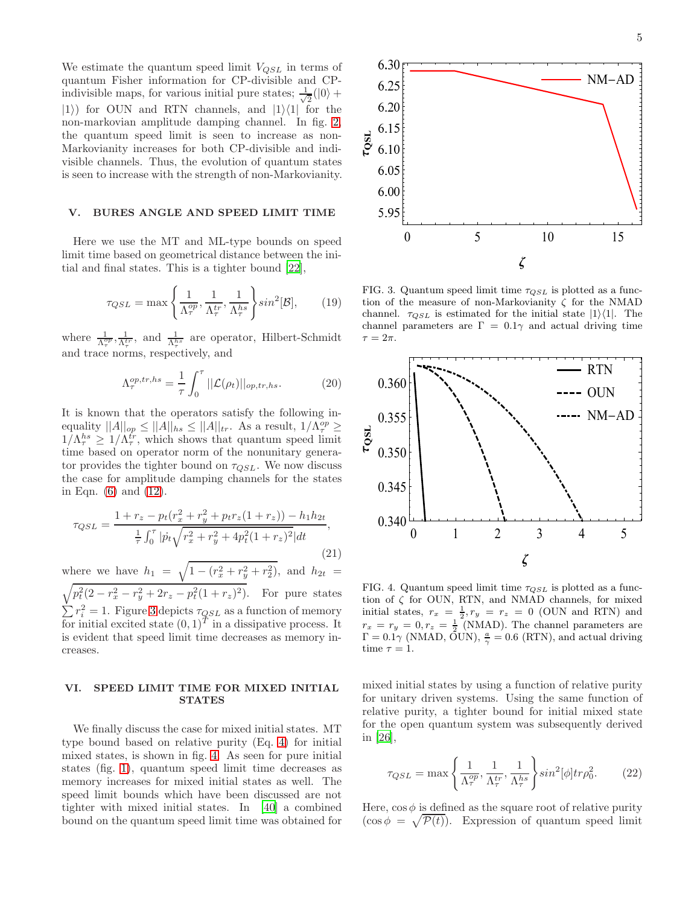We estimate the quantum speed limit  $V_{QSL}$  in terms of quantum Fisher information for CP-divisible and CPindivisible maps, for various initial pure states;  $\frac{1}{\sqrt{2}}$  $\frac{1}{2}(|0\rangle +$  $|1\rangle$  for OUN and RTN channels, and  $|1\rangle\langle1|$  for the non-markovian amplitude damping channel. In fig. [2,](#page-3-1) the quantum speed limit is seen to increase as non-Markovianity increases for both CP-divisible and indivisible channels. Thus, the evolution of quantum states is seen to increase with the strength of non-Markovianity.

## V. BURES ANGLE AND SPEED LIMIT TIME

Here we use the MT and ML-type bounds on speed limit time based on geometrical distance between the initial and final states. This is a tighter bound [\[22](#page-5-13)],

$$
\tau_{QSL} = \max\left\{\frac{1}{\Lambda_{\tau}^{op}}, \frac{1}{\Lambda_{\tau}^{tr}}, \frac{1}{\Lambda_{\tau}^{hs}}\right\} \sin^2[\mathcal{B}],\qquad(19)
$$

where  $\frac{1}{\Lambda_{\tau}^{opp}}, \frac{1}{\Lambda_{\tau}^{tr}},$  and  $\frac{1}{\Lambda_{\tau}^{hs}}$  are operator, Hilbert-Schmidt and trace norms, respectively, and

$$
\Lambda_{\tau}^{op,tr,hs} = \frac{1}{\tau} \int_0^{\tau} ||\mathcal{L}(\rho_t)||_{op,tr,hs}.
$$
 (20)

It is known that the operators satisfy the following inequality  $||A||_{op} \le ||A||_{hs} \le ||A||_{tr}$ . As a result,  $1/\Lambda_{\tau}^{op} \ge$  $1/\Lambda_{\tau}^{hs} \geq 1/\Lambda_{\tau}^{tr}$ , which shows that quantum speed limit time based on operator norm of the nonunitary generator provides the tighter bound on  $\tau_{QSL}$ . We now discuss the case for amplitude damping channels for the states in Eqn. [\(6\)](#page-2-1) and [\(12\)](#page-3-2).

$$
\tau_{QSL} = \frac{1 + r_z - p_t(r_x^2 + r_y^2 + p_t r_z (1 + r_z)) - h_1 h_{2t}}{\frac{1}{\tau} \int_0^\tau |\dot{p}_t \sqrt{r_x^2 + r_y^2 + 4p_t^2 (1 + r_z)^2} | dt},\tag{21}
$$

where we have  $h_1 = \sqrt{1 - (r_x^2 + r_y^2 + r_2^2)}$ , and  $h_{2t} =$  $\sqrt{p_t^2(2-r_x^2-r_y^2+2r_z-p_t^2(1+r_z^2))}$ . For pure states  $\sum r_i^2 = 1$ . Figure [3](#page-4-0) depicts  $\tau_{QSL}$  as a function of memory for initial excited state  $(0,1)^T$  in a dissipative process. It is evident that speed limit time decreases as memory increases.

### VI. SPEED LIMIT TIME FOR MIXED INITIAL **STATES**

We finally discuss the case for mixed initial states. MT type bound based on relative purity (Eq. [4\)](#page-2-2) for initial mixed states, is shown in fig. [4.](#page-4-1) As seen for pure initial states (fig. [1\)](#page-3-0), quantum speed limit time decreases as memory increases for mixed initial states as well. The speed limit bounds which have been discussed are not tighter with mixed initial states. In [\[40\]](#page-6-17) a combined bound on the quantum speed limit time was obtained for



<span id="page-4-0"></span>FIG. 3. Quantum speed limit time  $\tau_{QSL}$  is plotted as a function of the measure of non-Markovianity  $\zeta$  for the NMAD channel.  $\tau_{QSL}$  is estimated for the initial state  $|1\rangle\langle 1|$ . The channel parameters are  $\Gamma = 0.1\gamma$  and actual driving time  $\tau = 2\pi$ .



<span id="page-4-1"></span>FIG. 4. Quantum speed limit time  $\tau_{QSL}$  is plotted as a function of  $\zeta$  for OUN, RTN, and NMAD channels, for mixed initial states,  $r_x = \frac{1}{2}, r_y = r_z = 0$  (OUN and RTN) and  $r_x = r_y = 0, r_z = \frac{1}{2}$  (NMAD). The channel parameters are  $\Gamma = 0.1\gamma$  (NMAD,  $\tilde{\mathrm{O}}$ UN),  $\frac{a}{\gamma} = 0.6$  (RTN), and actual driving time  $\tau = 1$ .

mixed initial states by using a function of relative purity for unitary driven systems. Using the same function of relative purity, a tighter bound for initial mixed state for the open quantum system was subsequently derived in [\[26\]](#page-6-3),

$$
\tau_{QSL} = \max\left\{\frac{1}{\Lambda_{\tau}^{op}}, \frac{1}{\Lambda_{\tau}^{tr}}, \frac{1}{\Lambda_{\tau}^{hs}}\right\} \sin^2[\phi] tr\rho_0^2.
$$
 (22)

Here,  $\cos \phi$  is defined as the square root of relative purity  $(\cos \phi = \sqrt{\mathcal{P}(t)})$ . Expression of quantum speed limit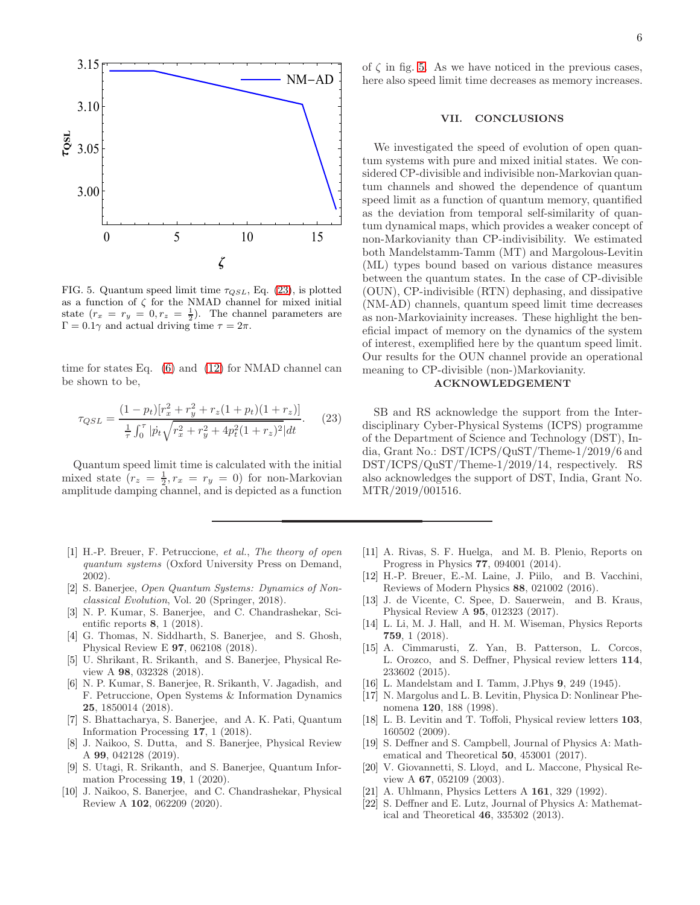

<span id="page-5-15"></span>FIG. 5. Quantum speed limit time  $\tau_{QSL}$ , Eq. [\(23\)](#page-5-14), is plotted as a function of  $\zeta$  for the NMAD channel for mixed initial state  $(r_x = r_y = 0, r_z = \frac{1}{2})$ . The channel parameters are  $Γ = 0.1γ$  and actual driving time  $τ = 2π$ .

time for states Eq.  $(6)$  and  $(12)$  for NMAD channel can be shown to be,

<span id="page-5-14"></span>
$$
\tau_{QSL} = \frac{(1 - p_t)[r_x^2 + r_y^2 + r_z(1 + p_t)(1 + r_z)]}{\frac{1}{\tau} \int_0^{\tau} |\dot{p}_t \sqrt{r_x^2 + r_y^2 + 4p_t^2(1 + r_z)^2} |dt}.
$$
 (23)

Quantum speed limit time is calculated with the initial mixed state  $(r_z = \frac{1}{2}, r_x = r_y = 0)$  for non-Markovian amplitude damping channel, and is depicted as a function

- <span id="page-5-0"></span>[1] H.-P. Breuer, F. Petruccione, *et al.*, *The theory of open quantum systems* (Oxford University Press on Demand, 2002).
- <span id="page-5-1"></span>[2] S. Banerjee, *Open Quantum Systems: Dynamics of Nonclassical Evolution*, Vol. 20 (Springer, 2018).
- <span id="page-5-2"></span>[3] N. P. Kumar, S. Banerjee, and C. Chandrashekar, Scientific reports 8, 1 (2018).
- [4] G. Thomas, N. Siddharth, S. Banerjee, and S. Ghosh, Physical Review E 97, 062108 (2018).
- [5] U. Shrikant, R. Srikanth, and S. Banerjee, Physical Review A 98, 032328 (2018).
- [6] N. P. Kumar, S. Banerjee, R. Srikanth, V. Jagadish, and F. Petruccione, Open Systems & Information Dynamics 25, 1850014 (2018).
- [7] S. Bhattacharya, S. Banerjee, and A. K. Pati, Quantum Information Processing 17, 1 (2018).
- [8] J. Naikoo, S. Dutta, and S. Banerjee, Physical Review A 99, 042128 (2019).
- [9] S. Utagi, R. Srikanth, and S. Banerjee, Quantum Information Processing 19, 1 (2020).
- <span id="page-5-3"></span>[10] J. Naikoo, S. Banerjee, and C. Chandrashekar, Physical Review A 102, 062209 (2020).

of  $\zeta$  in fig. [5.](#page-5-15) As we have noticed in the previous cases, here also speed limit time decreases as memory increases.

### VII. CONCLUSIONS

We investigated the speed of evolution of open quantum systems with pure and mixed initial states. We considered CP-divisible and indivisible non-Markovian quantum channels and showed the dependence of quantum speed limit as a function of quantum memory, quantified as the deviation from temporal self-similarity of quantum dynamical maps, which provides a weaker concept of non-Markovianity than CP-indivisibility. We estimated both Mandelstamm-Tamm (MT) and Margolous-Levitin (ML) types bound based on various distance measures between the quantum states. In the case of CP-divisible (OUN), CP-indivisible (RTN) dephasing, and dissipative (NM-AD) channels, quantum speed limit time decreases as non-Markoviainity increases. These highlight the beneficial impact of memory on the dynamics of the system of interest, exemplified here by the quantum speed limit. Our results for the OUN channel provide an operational meaning to CP-divisible (non-)Markovianity.

# ACKNOWLEDGEMENT

SB and RS acknowledge the support from the Interdisciplinary Cyber-Physical Systems (ICPS) programme of the Department of Science and Technology (DST), India, Grant No.: DST/ICPS/QuST/Theme-1/2019/6 and DST/ICPS/QuST/Theme-1/2019/14, respectively. RS also acknowledges the support of DST, India, Grant No. MTR/2019/001516.

- <span id="page-5-4"></span>[11] A. Rivas, S. F. Huelga, and M. B. Plenio, Reports on Progress in Physics 77, 094001 (2014).
- [12] H.-P. Breuer, E.-M. Laine, J. Piilo, and B. Vacchini, Reviews of Modern Physics 88, 021002 (2016).
- [13] J. de Vicente, C. Spee, D. Sauerwein, and B. Kraus, Physical Review A 95, 012323 (2017).
- <span id="page-5-5"></span>[14] L. Li, M. J. Hall, and H. M. Wiseman, Physics Reports 759, 1 (2018).
- <span id="page-5-6"></span>[15] A. Cimmarusti, Z. Yan, B. Patterson, L. Corcos, L. Orozco, and S. Deffner, Physical review letters 114, 233602 (2015).
- <span id="page-5-7"></span>[16] L. Mandelstam and I. Tamm, J.Phys 9, 249 (1945).
- <span id="page-5-8"></span>[17] N. Margolus and L. B. Levitin, Physica D: Nonlinear Phenomena 120, 188 (1998).
- <span id="page-5-9"></span>[18] L. B. Levitin and T. Toffoli, Physical review letters 103, 160502 (2009).
- <span id="page-5-10"></span>[19] S. Deffner and S. Campbell, Journal of Physics A: Mathematical and Theoretical 50, 453001 (2017).
- <span id="page-5-11"></span>[20] V. Giovannetti, S. Lloyd, and L. Maccone, Physical Review A 67, 052109 (2003).
- <span id="page-5-12"></span>[21] A. Uhlmann, Physics Letters A 161, 329 (1992).
- <span id="page-5-13"></span>[22] S. Deffner and E. Lutz, Journal of Physics A: Mathematical and Theoretical 46, 335302 (2013).